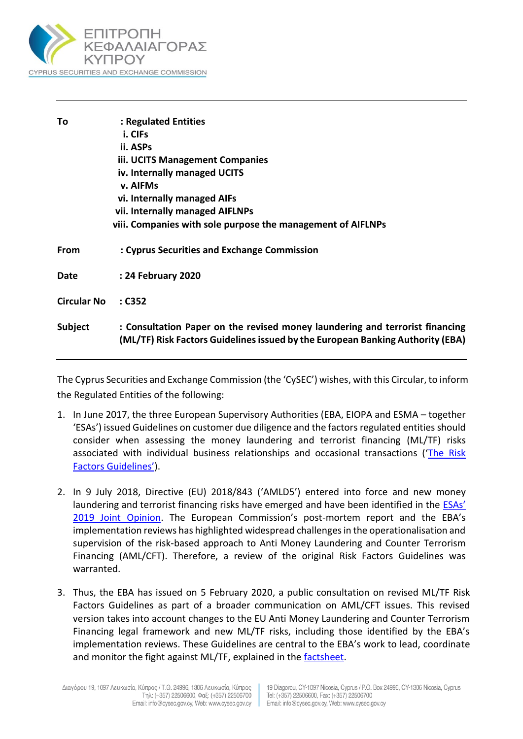

| To                 | : Regulated Entities                                                                                                                                           |
|--------------------|----------------------------------------------------------------------------------------------------------------------------------------------------------------|
|                    | i. CIFs                                                                                                                                                        |
|                    | ii. ASPs                                                                                                                                                       |
|                    | iii. UCITS Management Companies                                                                                                                                |
|                    | iv. Internally managed UCITS                                                                                                                                   |
|                    | v. AIFMs                                                                                                                                                       |
|                    | vi. Internally managed AIFs                                                                                                                                    |
|                    | vii. Internally managed AIFLNPs                                                                                                                                |
|                    | viii. Companies with sole purpose the management of AIFLNPs                                                                                                    |
| From               | : Cyprus Securities and Exchange Commission                                                                                                                    |
| Date               | : 24 February 2020                                                                                                                                             |
| <b>Circular No</b> | : C352                                                                                                                                                         |
| Subject            | : Consultation Paper on the revised money laundering and terrorist financing<br>(ML/TF) Risk Factors Guidelines issued by the European Banking Authority (EBA) |

The Cyprus Securities and Exchange Commission (the 'CySEC') wishes, with this Circular, to inform the Regulated Entities of the following:

- 1. In June 2017, the three European Supervisory Authorities (EBA, EIOPA and ESMA together 'ESAs') issued Guidelines on customer due diligence and the factors regulated entities should consider when assessing the money laundering and terrorist financing (ML/TF) risks associated with individual business relationships and occasional transactions ('The Risk [Factors Guidelines'](https://eba.europa.eu/sites/default/documents/files/documents/10180/1890686/66ec16d9-0c02-428b-a294-ad1e3d659e70/Final%20Guidelines%20on%20Risk%20Factors%20(JC%202017%2037).pdf)).
- 2. In 9 July 2018, Directive (EU) 2018/843 ('AMLD5') entered into force and new money laundering and terrorist financing risks have emerged and have been identified in the [ESAs'](https://eba.europa.eu/esas-highlight-money-laundering-and-terrorist-financing-risks-in-the-eu-financial-sector)  [2019 Joint Opinion](https://eba.europa.eu/esas-highlight-money-laundering-and-terrorist-financing-risks-in-the-eu-financial-sector). The European Commission's post-mortem report and the EBA's implementation reviews has highlighted widespread challenges in the operationalisation and supervision of the risk-based approach to Anti Money Laundering and Counter Terrorism Financing (AML/CFT). Therefore, a review of the original Risk Factors Guidelines was warranted.
- 3. Thus, the EBA has issued on 5 February 2020, a public consultation on revised ML/TF Risk Factors Guidelines as part of a broader communication on AML/CFT issues. This revised version takes into account changes to the EU Anti Money Laundering and Counter Terrorism Financing legal framework and new ML/TF risks, including those identified by the EBA's implementation reviews. These Guidelines are central to the EBA's work to lead, coordinate and monitor the fight against ML/TF, explained in the [factsheet.](https://eba.europa.eu/sites/default/documents/files/document_library/News%20and%20Press/Press%20Room/Press%20Releases/2020/EBA%20acts%20to%20improve%20AML/CFT%20supervision%20in%20Europe/AML%20CFT%20Factsheet.pdf)